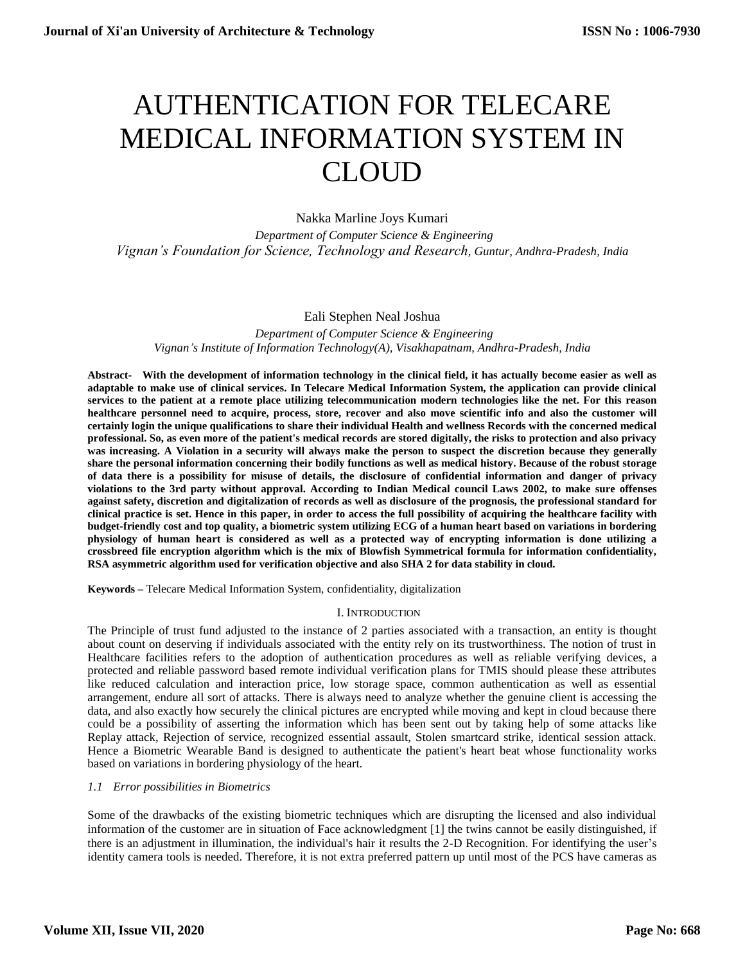# AUTHENTICATION FOR TELECARE MEDICAL INFORMATION SYSTEM IN CLOUD

Nakka Marline Joys Kumari

 *Department of Computer Science & Engineering Vignan's Foundation for Science, Technology and Research, Guntur, Andhra-Pradesh, India*

# Eali Stephen Neal Joshua

 *Department of Computer Science & Engineering Vignan's Institute of Information Technology(A), Visakhapatnam, Andhra-Pradesh, India*

**Abstract- With the development of information technology in the clinical field, it has actually become easier as well as adaptable to make use of clinical services. In Telecare Medical Information System, the application can provide clinical services to the patient at a remote place utilizing telecommunication modern technologies like the net. For this reason healthcare personnel need to acquire, process, store, recover and also move scientific info and also the customer will certainly login the unique qualifications to share their individual Health and wellness Records with the concerned medical professional. So, as even more of the patient's medical records are stored digitally, the risks to protection and also privacy was increasing. A Violation in a security will always make the person to suspect the discretion because they generally share the personal information concerning their bodily functions as well as medical history. Because of the robust storage of data there is a possibility for misuse of details, the disclosure of confidential information and danger of privacy violations to the 3rd party without approval. According to Indian Medical council Laws 2002, to make sure offenses against safety, discretion and digitalization of records as well as disclosure of the prognosis, the professional standard for clinical practice is set. Hence in this paper, in order to access the full possibility of acquiring the healthcare facility with budget-friendly cost and top quality, a biometric system utilizing ECG of a human heart based on variations in bordering physiology of human heart is considered as well as a protected way of encrypting information is done utilizing a crossbreed file encryption algorithm which is the mix of Blowfish Symmetrical formula for information confidentiality, RSA asymmetric algorithm used for verification objective and also SHA 2 for data stability in cloud.**

**Keywords –** Telecare Medical Information System, confidentiality, digitalization

# I. INTRODUCTION

The Principle of trust fund adjusted to the instance of 2 parties associated with a transaction, an entity is thought about count on deserving if individuals associated with the entity rely on its trustworthiness. The notion of trust in Healthcare facilities refers to the adoption of authentication procedures as well as reliable verifying devices, a protected and reliable password based remote individual verification plans for TMIS should please these attributes like reduced calculation and interaction price, low storage space, common authentication as well as essential arrangement, endure all sort of attacks. There is always need to analyze whether the genuine client is accessing the data, and also exactly how securely the clinical pictures are encrypted while moving and kept in cloud because there could be a possibility of asserting the information which has been sent out by taking help of some attacks like Replay attack, Rejection of service, recognized essential assault, Stolen smartcard strike, identical session attack. Hence a Biometric Wearable Band is designed to authenticate the patient's heart beat whose functionality works based on variations in bordering physiology of the heart.

# *1.1 Error possibilities in Biometrics*

Some of the drawbacks of the existing biometric techniques which are disrupting the licensed and also individual information of the customer are in situation of Face acknowledgment [1] the twins cannot be easily distinguished, if there is an adjustment in illumination, the individual's hair it results the 2-D Recognition. For identifying the user's identity camera tools is needed. Therefore, it is not extra preferred pattern up until most of the PCS have cameras as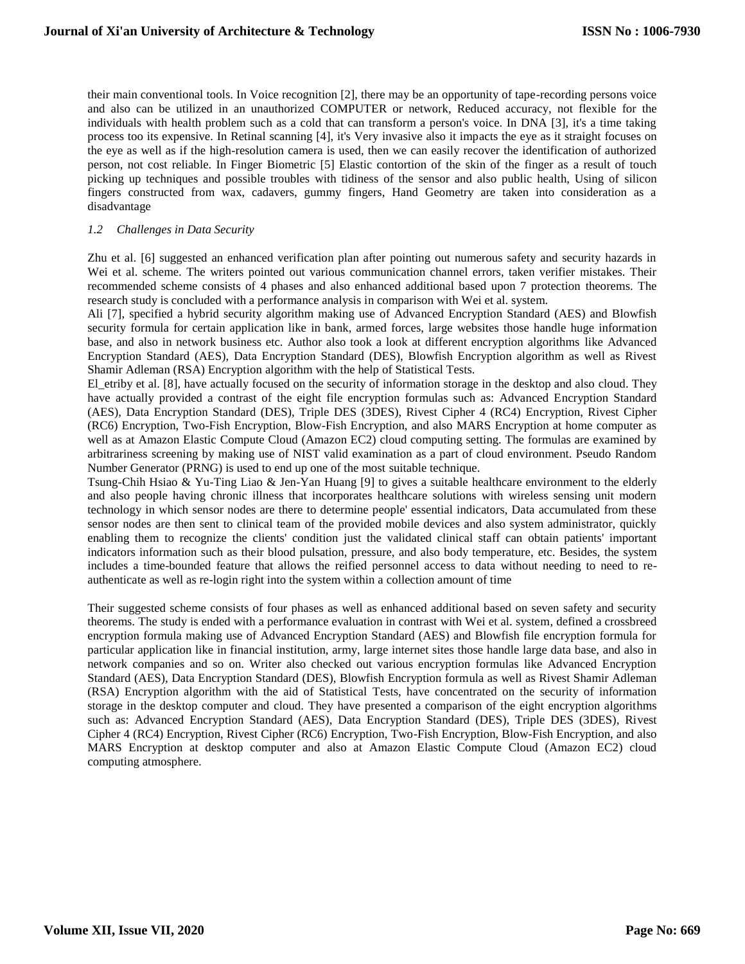their main conventional tools. In Voice recognition [2], there may be an opportunity of tape-recording persons voice and also can be utilized in an unauthorized COMPUTER or network, Reduced accuracy, not flexible for the individuals with health problem such as a cold that can transform a person's voice. In DNA [3], it's a time taking process too its expensive. In Retinal scanning [4], it's Very invasive also it impacts the eye as it straight focuses on the eye as well as if the high-resolution camera is used, then we can easily recover the identification of authorized person, not cost reliable. In Finger Biometric [5] Elastic contortion of the skin of the finger as a result of touch picking up techniques and possible troubles with tidiness of the sensor and also public health, Using of silicon fingers constructed from wax, cadavers, gummy fingers, Hand Geometry are taken into consideration as a disadvantage

#### *1.2 Challenges in Data Security*

Zhu et al. [6] suggested an enhanced verification plan after pointing out numerous safety and security hazards in Wei et al. scheme. The writers pointed out various communication channel errors, taken verifier mistakes. Their recommended scheme consists of 4 phases and also enhanced additional based upon 7 protection theorems. The research study is concluded with a performance analysis in comparison with Wei et al. system.

Ali [7], specified a hybrid security algorithm making use of Advanced Encryption Standard (AES) and Blowfish security formula for certain application like in bank, armed forces, large websites those handle huge information base, and also in network business etc. Author also took a look at different encryption algorithms like Advanced Encryption Standard (AES), Data Encryption Standard (DES), Blowfish Encryption algorithm as well as Rivest Shamir Adleman (RSA) Encryption algorithm with the help of Statistical Tests.

El etriby et al. [8], have actually focused on the security of information storage in the desktop and also cloud. They have actually provided a contrast of the eight file encryption formulas such as: Advanced Encryption Standard (AES), Data Encryption Standard (DES), Triple DES (3DES), Rivest Cipher 4 (RC4) Encryption, Rivest Cipher (RC6) Encryption, Two-Fish Encryption, Blow-Fish Encryption, and also MARS Encryption at home computer as well as at Amazon Elastic Compute Cloud (Amazon EC2) cloud computing setting. The formulas are examined by arbitrariness screening by making use of NIST valid examination as a part of cloud environment. Pseudo Random Number Generator (PRNG) is used to end up one of the most suitable technique.

Tsung-Chih Hsiao & Yu-Ting Liao & Jen-Yan Huang [9] to gives a suitable healthcare environment to the elderly and also people having chronic illness that incorporates healthcare solutions with wireless sensing unit modern technology in which sensor nodes are there to determine people' essential indicators, Data accumulated from these sensor nodes are then sent to clinical team of the provided mobile devices and also system administrator, quickly enabling them to recognize the clients' condition just the validated clinical staff can obtain patients' important indicators information such as their blood pulsation, pressure, and also body temperature, etc. Besides, the system includes a time-bounded feature that allows the reified personnel access to data without needing to need to reauthenticate as well as re-login right into the system within a collection amount of time

Their suggested scheme consists of four phases as well as enhanced additional based on seven safety and security theorems. The study is ended with a performance evaluation in contrast with Wei et al. system, defined a crossbreed encryption formula making use of Advanced Encryption Standard (AES) and Blowfish file encryption formula for particular application like in financial institution, army, large internet sites those handle large data base, and also in network companies and so on. Writer also checked out various encryption formulas like Advanced Encryption Standard (AES), Data Encryption Standard (DES), Blowfish Encryption formula as well as Rivest Shamir Adleman (RSA) Encryption algorithm with the aid of Statistical Tests, have concentrated on the security of information storage in the desktop computer and cloud. They have presented a comparison of the eight encryption algorithms such as: Advanced Encryption Standard (AES), Data Encryption Standard (DES), Triple DES (3DES), Rivest Cipher 4 (RC4) Encryption, Rivest Cipher (RC6) Encryption, Two-Fish Encryption, Blow-Fish Encryption, and also MARS Encryption at desktop computer and also at Amazon Elastic Compute Cloud (Amazon EC2) cloud computing atmosphere.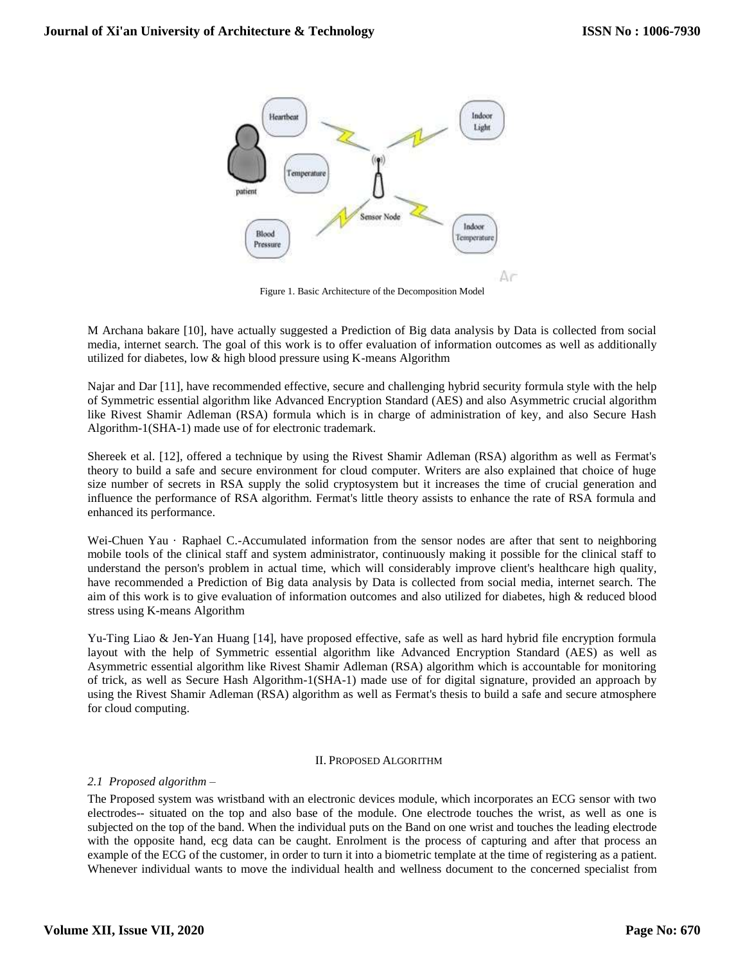

Figure 1. Basic Architecture of the Decomposition Model

M Archana bakare [10], have actually suggested a Prediction of Big data analysis by Data is collected from social media, internet search. The goal of this work is to offer evaluation of information outcomes as well as additionally utilized for diabetes, low & high blood pressure using K-means Algorithm

Najar and Dar [11], have recommended effective, secure and challenging hybrid security formula style with the help of Symmetric essential algorithm like Advanced Encryption Standard (AES) and also Asymmetric crucial algorithm like Rivest Shamir Adleman (RSA) formula which is in charge of administration of key, and also Secure Hash Algorithm-1(SHA-1) made use of for electronic trademark.

Shereek et al. [12], offered a technique by using the Rivest Shamir Adleman (RSA) algorithm as well as Fermat's theory to build a safe and secure environment for cloud computer. Writers are also explained that choice of huge size number of secrets in RSA supply the solid cryptosystem but it increases the time of crucial generation and influence the performance of RSA algorithm. Fermat's little theory assists to enhance the rate of RSA formula and enhanced its performance.

Wei-Chuen Yau · Raphael C.-Accumulated information from the sensor nodes are after that sent to neighboring mobile tools of the clinical staff and system administrator, continuously making it possible for the clinical staff to understand the person's problem in actual time, which will considerably improve client's healthcare high quality, have recommended a Prediction of Big data analysis by Data is collected from social media, internet search. The aim of this work is to give evaluation of information outcomes and also utilized for diabetes, high & reduced blood stress using K-means Algorithm

Yu-Ting Liao & Jen-Yan Huang [14], have proposed effective, safe as well as hard hybrid file encryption formula layout with the help of Symmetric essential algorithm like Advanced Encryption Standard (AES) as well as Asymmetric essential algorithm like Rivest Shamir Adleman (RSA) algorithm which is accountable for monitoring of trick, as well as Secure Hash Algorithm-1(SHA-1) made use of for digital signature, provided an approach by using the Rivest Shamir Adleman (RSA) algorithm as well as Fermat's thesis to build a safe and secure atmosphere for cloud computing.

#### II. PROPOSED ALGORITHM

#### *2.1 Proposed algorithm –*

The Proposed system was wristband with an electronic devices module, which incorporates an ECG sensor with two electrodes-- situated on the top and also base of the module. One electrode touches the wrist, as well as one is subjected on the top of the band. When the individual puts on the Band on one wrist and touches the leading electrode with the opposite hand, ecg data can be caught. Enrolment is the process of capturing and after that process an example of the ECG of the customer, in order to turn it into a biometric template at the time of registering as a patient. Whenever individual wants to move the individual health and wellness document to the concerned specialist from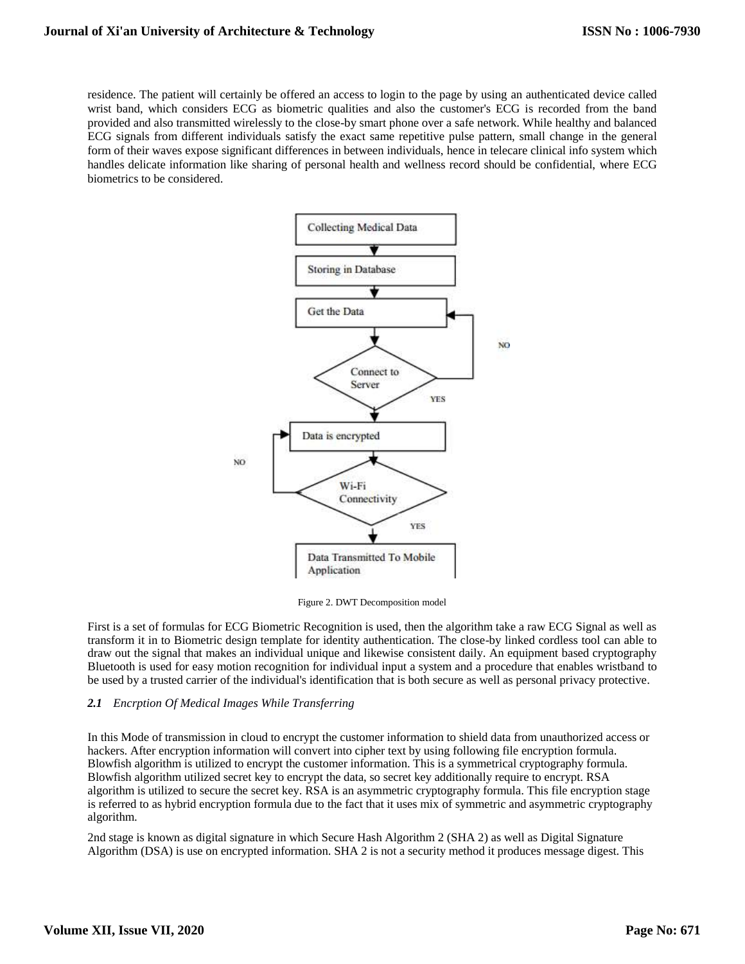residence. The patient will certainly be offered an access to login to the page by using an authenticated device called wrist band, which considers ECG as biometric qualities and also the customer's ECG is recorded from the band provided and also transmitted wirelessly to the close-by smart phone over a safe network. While healthy and balanced ECG signals from different individuals satisfy the exact same repetitive pulse pattern, small change in the general form of their waves expose significant differences in between individuals, hence in telecare clinical info system which handles delicate information like sharing of personal health and wellness record should be confidential, where ECG biometrics to be considered.



Figure 2. DWT Decomposition model

First is a set of formulas for ECG Biometric Recognition is used, then the algorithm take a raw ECG Signal as well as transform it in to Biometric design template for identity authentication. The close-by linked cordless tool can able to draw out the signal that makes an individual unique and likewise consistent daily. An equipment based cryptography Bluetooth is used for easy motion recognition for individual input a system and a procedure that enables wristband to be used by a trusted carrier of the individual's identification that is both secure as well as personal privacy protective.

# *2.1 Encrption Of Medical Images While Transferring*

In this Mode of transmission in cloud to encrypt the customer information to shield data from unauthorized access or hackers. After encryption information will convert into cipher text by using following file encryption formula. Blowfish algorithm is utilized to encrypt the customer information. This is a symmetrical cryptography formula. Blowfish algorithm utilized secret key to encrypt the data, so secret key additionally require to encrypt. RSA algorithm is utilized to secure the secret key. RSA is an asymmetric cryptography formula. This file encryption stage is referred to as hybrid encryption formula due to the fact that it uses mix of symmetric and asymmetric cryptography algorithm.

2nd stage is known as digital signature in which Secure Hash Algorithm 2 (SHA 2) as well as Digital Signature Algorithm (DSA) is use on encrypted information. SHA 2 is not a security method it produces message digest. This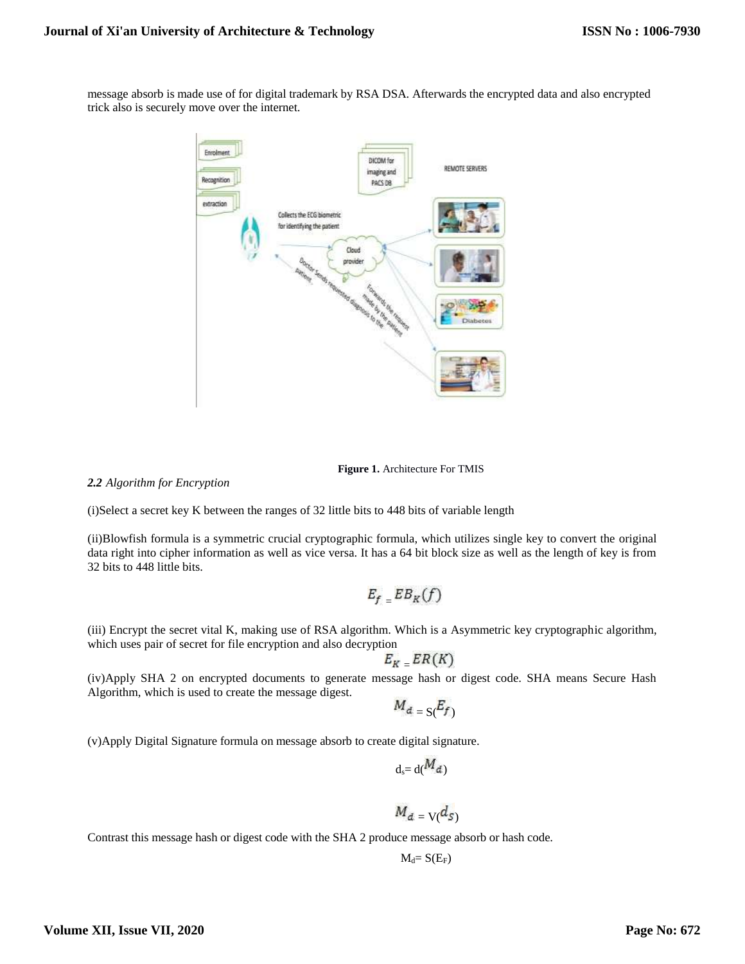message absorb is made use of for digital trademark by RSA DSA. Afterwards the encrypted data and also encrypted trick also is securely move over the internet.



**Figure 1.** Architecture For TMIS

*2.2 Algorithm for Encryption*

(i)Select a secret key K between the ranges of 32 little bits to 448 bits of variable length

(ii)Blowfish formula is a symmetric crucial cryptographic formula, which utilizes single key to convert the original data right into cipher information as well as vice versa. It has a 64 bit block size as well as the length of key is from 32 bits to 448 little bits.

$$
E_{f=E}B_{K}(f)
$$

(iii) Encrypt the secret vital K, making use of RSA algorithm. Which is a Asymmetric key cryptographic algorithm, which uses pair of secret for file encryption and also decryption

$$
E_{K}=ER(K)
$$

(iv)Apply SHA 2 on encrypted documents to generate message hash or digest code. SHA means Secure Hash Algorithm, which is used to create the message digest.

$$
M_{d} = S(\overline{E_f})
$$

(v)Apply Digital Signature formula on message absorb to create digital signature.

$$
d_s = d(M_d)
$$
  

$$
M_d = V(d_s)
$$

Contrast this message hash or digest code with the SHA 2 produce message absorb or hash code.

 $M_d = S(E_F)$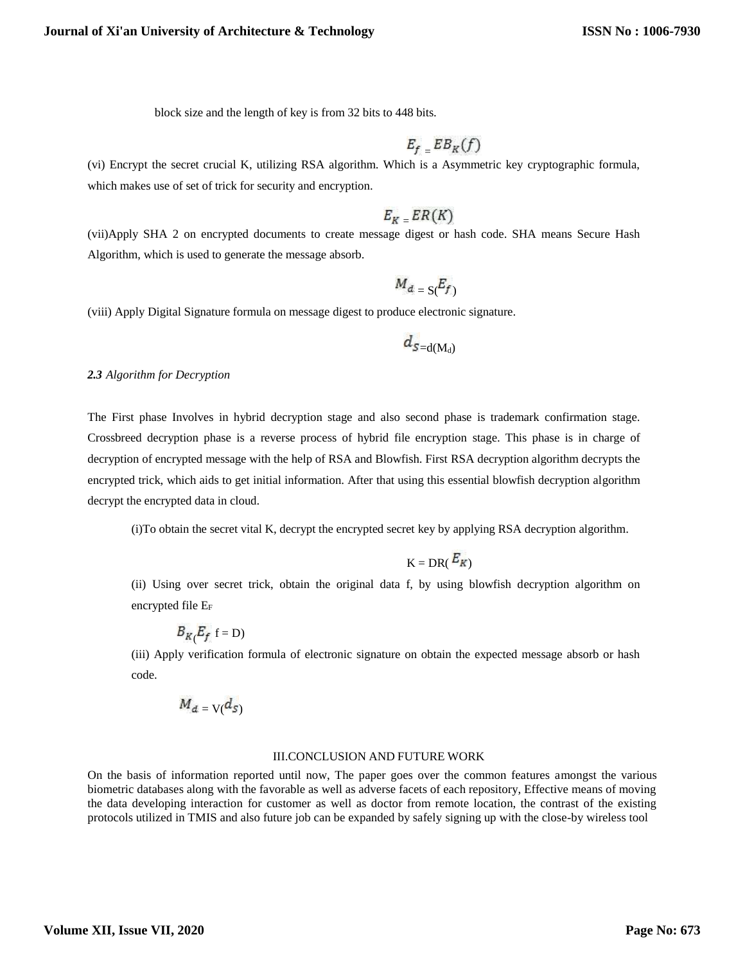block size and the length of key is from 32 bits to 448 bits.

$$
E_{f} = EB_{K}(f)
$$

(vi) Encrypt the secret crucial K, utilizing RSA algorithm. Which is a Asymmetric key cryptographic formula, which makes use of set of trick for security and encryption.

# $E_K$   $ER(K)$

(vii)Apply SHA 2 on encrypted documents to create message digest or hash code. SHA means Secure Hash Algorithm, which is used to generate the message absorb.

$$
M_{d} = S(F_f)
$$

(viii) Apply Digital Signature formula on message digest to produce electronic signature.

$$
d_{S=\mathrm{d}(\mathrm{M}_\mathrm{d})}
$$

#### *2.3 Algorithm for Decryption*

The First phase Involves in hybrid decryption stage and also second phase is trademark confirmation stage. Crossbreed decryption phase is a reverse process of hybrid file encryption stage. This phase is in charge of decryption of encrypted message with the help of RSA and Blowfish. First RSA decryption algorithm decrypts the encrypted trick, which aids to get initial information. After that using this essential blowfish decryption algorithm decrypt the encrypted data in cloud.

(i)To obtain the secret vital K, decrypt the encrypted secret key by applying RSA decryption algorithm.

$$
K = DR(\frac{E_K}{})
$$

(ii) Using over secret trick, obtain the original data f, by using blowfish decryption algorithm on encrypted file E<sup>F</sup>

$$
B_{K}E_{f} \t= D)
$$

(iii) Apply verification formula of electronic signature on obtain the expected message absorb or hash code.

$$
M_{d} = \mathbf{V}(d_{S})
$$

#### III.CONCLUSION AND FUTURE WORK

On the basis of information reported until now, The paper goes over the common features amongst the various biometric databases along with the favorable as well as adverse facets of each repository, Effective means of moving the data developing interaction for customer as well as doctor from remote location, the contrast of the existing protocols utilized in TMIS and also future job can be expanded by safely signing up with the close-by wireless tool